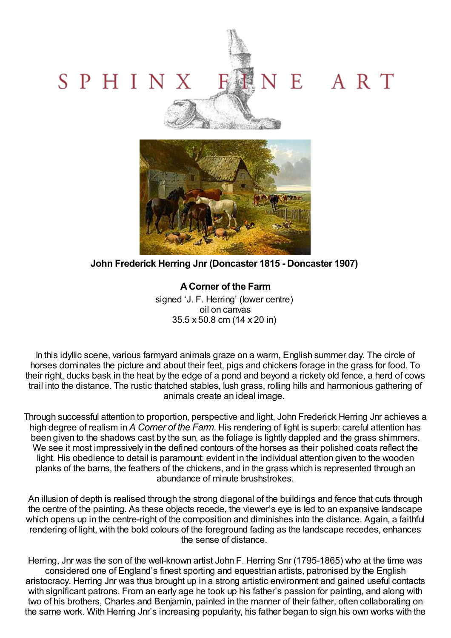## VE ART SPHINX Sealer von



**John Frederick Herring Jnr (Doncaster 1815 - Doncaster 1907)**

## **ACorner of the Farm** signed 'J. F. Herring' (lower centre) oil on canvas 35.5 x 50.8 cm (14 x 20 in)

In this idyllic scene, various farmyard animals graze on a warm, English summer day. The circle of horses dominates the picture and about their feet, pigs and chickens forage in the grass for food. To their right, ducks bask in the heat by the edge of a pond and beyond a rickety old fence, a herd of cows trail into the distance. The rustic thatched stables, lush grass, rolling hills and harmonious gathering of animals create an ideal image.

Through successful attention to proportion, perspective and light, John Frederick Herring Jnr achieves a high degree of realism in *A Corner of the Farm.* His rendering of light is superb: careful attention has been given to the shadows cast by the sun, as the foliage is lightly dappled and the grass shimmers. We see it most impressively in the defined contours of the horses as their polished coats reflect the light. His obedience to detail is paramount: evident in the individual attention given to the wooden planks of the barns, the feathers of the chickens, and in the grass which is represented through an abundance of minute brushstrokes.

An illusion of depth is realised through the strong diagonal of the buildings and fence that cuts through the centre of the painting. As these objects recede, the viewer's eye is led to an expansive landscape which opens up in the centre-right of the composition and diminishes into the distance. Again, a faithful rendering of light, with the bold colours of the foreground fading as the landscape recedes, enhances the sense of distance.

Herring, Jnr was the son of the well-known artist John F. Herring Snr (1795-1865) who at the time was considered one of England's finest sporting and equestrian artists, patronised by the English aristocracy. Herring Jnr was thus brought up in a strong artistic environment and gained useful contacts with significant patrons. From an early age he took up his father's passion for painting, and along with two of his brothers, Charles and Benjamin, painted in the manner of their father, often collaborating on the same work. With Herring Jnr's increasing popularity, his father began to sign his own works with the